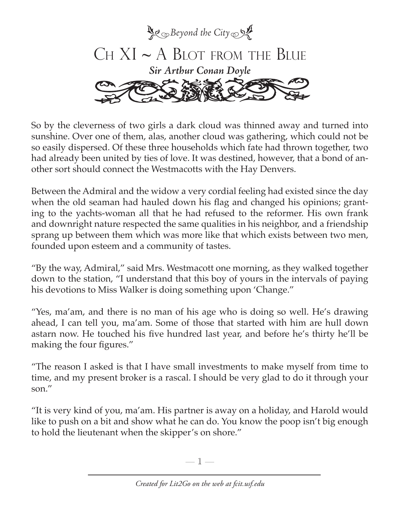

So by the cleverness of two girls a dark cloud was thinned away and turned into sunshine. Over one of them, alas, another cloud was gathering, which could not be so easily dispersed. Of these three households which fate had thrown together, two had already been united by ties of love. It was destined, however, that a bond of another sort should connect the Westmacotts with the Hay Denvers.

Between the Admiral and the widow a very cordial feeling had existed since the day when the old seaman had hauled down his flag and changed his opinions; granting to the yachts-woman all that he had refused to the reformer. His own frank and downright nature respected the same qualities in his neighbor, and a friendship sprang up between them which was more like that which exists between two men, founded upon esteem and a community of tastes.

"By the way, Admiral," said Mrs. Westmacott one morning, as they walked together down to the station, "I understand that this boy of yours in the intervals of paying his devotions to Miss Walker is doing something upon 'Change."

"Yes, ma'am, and there is no man of his age who is doing so well. He's drawing ahead, I can tell you, ma'am. Some of those that started with him are hull down astarn now. He touched his five hundred last year, and before he's thirty he'll be making the four figures."

"The reason I asked is that I have small investments to make myself from time to time, and my present broker is a rascal. I should be very glad to do it through your son."

"It is very kind of you, ma'am. His partner is away on a holiday, and Harold would like to push on a bit and show what he can do. You know the poop isn't big enough to hold the lieutenant when the skipper's on shore."

—  $\mathbb{I}$  —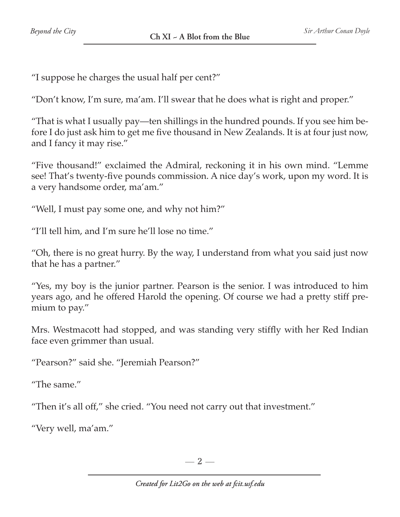"I suppose he charges the usual half per cent?"

"Don't know, I'm sure, ma'am. I'll swear that he does what is right and proper."

"That is what I usually pay—ten shillings in the hundred pounds. If you see him before I do just ask him to get me five thousand in New Zealands. It is at four just now, and I fancy it may rise."

"Five thousand!" exclaimed the Admiral, reckoning it in his own mind. "Lemme see! That's twenty-five pounds commission. A nice day's work, upon my word. It is a very handsome order, ma'am."

"Well, I must pay some one, and why not him?"

"I'll tell him, and I'm sure he'll lose no time."

"Oh, there is no great hurry. By the way, I understand from what you said just now that he has a partner."

"Yes, my boy is the junior partner. Pearson is the senior. I was introduced to him years ago, and he offered Harold the opening. Of course we had a pretty stiff premium to pay."

Mrs. Westmacott had stopped, and was standing very stiffly with her Red Indian face even grimmer than usual.

"Pearson?" said she. "Jeremiah Pearson?"

"The same."

"Then it's all off," she cried. "You need not carry out that investment."

"Very well, ma'am."

 $-2-$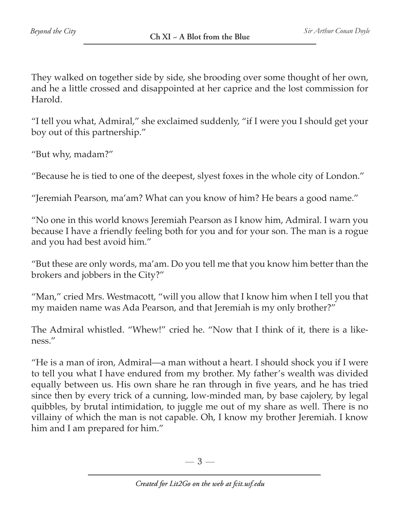They walked on together side by side, she brooding over some thought of her own, and he a little crossed and disappointed at her caprice and the lost commission for Harold.

"I tell you what, Admiral," she exclaimed suddenly, "if I were you I should get your boy out of this partnership."

"But why, madam?"

"Because he is tied to one of the deepest, slyest foxes in the whole city of London."

"Jeremiah Pearson, ma'am? What can you know of him? He bears a good name."

"No one in this world knows Jeremiah Pearson as I know him, Admiral. I warn you because I have a friendly feeling both for you and for your son. The man is a rogue and you had best avoid him."

"But these are only words, ma'am. Do you tell me that you know him better than the brokers and jobbers in the City?"

"Man," cried Mrs. Westmacott, "will you allow that I know him when I tell you that my maiden name was Ada Pearson, and that Jeremiah is my only brother?"

The Admiral whistled. "Whew!" cried he. "Now that I think of it, there is a likeness."

"He is a man of iron, Admiral—a man without a heart. I should shock you if I were to tell you what I have endured from my brother. My father's wealth was divided equally between us. His own share he ran through in five years, and he has tried since then by every trick of a cunning, low-minded man, by base cajolery, by legal quibbles, by brutal intimidation, to juggle me out of my share as well. There is no villainy of which the man is not capable. Oh, I know my brother Jeremiah. I know him and I am prepared for him."

 $-3-$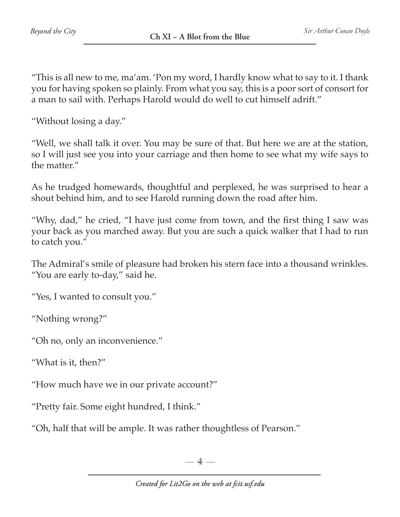"This is all new to me, ma'am. 'Pon my word, I hardly know what to say to it. I thank you for having spoken so plainly. From what you say, this is a poor sort of consort for a man to sail with. Perhaps Harold would do well to cut himself adrift."

"Without losing a day."

"Well, we shall talk it over. You may be sure of that. But here we are at the station, so I will just see you into your carriage and then home to see what my wife says to the matter."

As he trudged homewards, thoughtful and perplexed, he was surprised to hear a shout behind him, and to see Harold running down the road after him.

"Why, dad," he cried, "I have just come from town, and the first thing I saw was your back as you marched away. But you are such a quick walker that I had to run to catch you."

The Admiral's smile of pleasure had broken his stern face into a thousand wrinkles. "You are early to-day," said he.

"Yes, I wanted to consult you."

"Nothing wrong?"

"Oh no, only an inconvenience."

"What is it, then?"

"How much have we in our private account?"

"Pretty fair. Some eight hundred, I think."

"Oh, half that will be ample. It was rather thoughtless of Pearson."

 $-4-$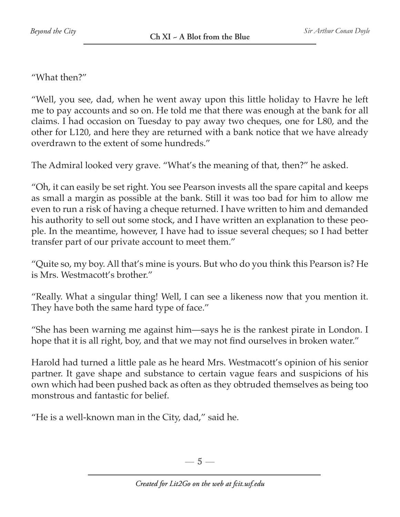"What then?"

"Well, you see, dad, when he went away upon this little holiday to Havre he left me to pay accounts and so on. He told me that there was enough at the bank for all claims. I had occasion on Tuesday to pay away two cheques, one for L80, and the other for L120, and here they are returned with a bank notice that we have already overdrawn to the extent of some hundreds."

The Admiral looked very grave. "What's the meaning of that, then?" he asked.

"Oh, it can easily be set right. You see Pearson invests all the spare capital and keeps as small a margin as possible at the bank. Still it was too bad for him to allow me even to run a risk of having a cheque returned. I have written to him and demanded his authority to sell out some stock, and I have written an explanation to these people. In the meantime, however, I have had to issue several cheques; so I had better transfer part of our private account to meet them."

"Quite so, my boy. All that's mine is yours. But who do you think this Pearson is? He is Mrs. Westmacott's brother."

"Really. What a singular thing! Well, I can see a likeness now that you mention it. They have both the same hard type of face."

"She has been warning me against him—says he is the rankest pirate in London. I hope that it is all right, boy, and that we may not find ourselves in broken water."

Harold had turned a little pale as he heard Mrs. Westmacott's opinion of his senior partner. It gave shape and substance to certain vague fears and suspicions of his own which had been pushed back as often as they obtruded themselves as being too monstrous and fantastic for belief.

"He is a well-known man in the City, dad," said he.

 $-5-$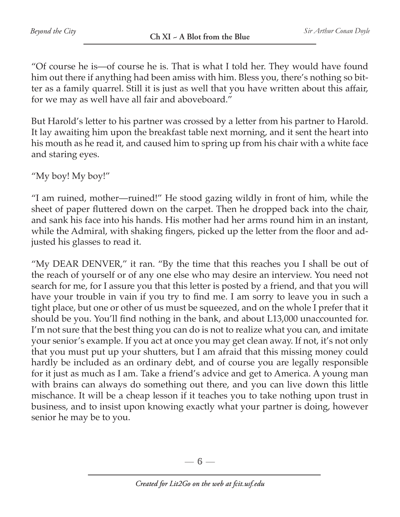"Of course he is—of course he is. That is what I told her. They would have found him out there if anything had been amiss with him. Bless you, there's nothing so bitter as a family quarrel. Still it is just as well that you have written about this affair, for we may as well have all fair and aboveboard."

But Harold's letter to his partner was crossed by a letter from his partner to Harold. It lay awaiting him upon the breakfast table next morning, and it sent the heart into his mouth as he read it, and caused him to spring up from his chair with a white face and staring eyes.

"My boy! My boy!"

"I am ruined, mother—ruined!" He stood gazing wildly in front of him, while the sheet of paper fluttered down on the carpet. Then he dropped back into the chair, and sank his face into his hands. His mother had her arms round him in an instant, while the Admiral, with shaking fingers, picked up the letter from the floor and adjusted his glasses to read it.

"My DEAR DENVER," it ran. "By the time that this reaches you I shall be out of the reach of yourself or of any one else who may desire an interview. You need not search for me, for I assure you that this letter is posted by a friend, and that you will have your trouble in vain if you try to find me. I am sorry to leave you in such a tight place, but one or other of us must be squeezed, and on the whole I prefer that it should be you. You'll find nothing in the bank, and about L13,000 unaccounted for. I'm not sure that the best thing you can do is not to realize what you can, and imitate your senior's example. If you act at once you may get clean away. If not, it's not only that you must put up your shutters, but I am afraid that this missing money could hardly be included as an ordinary debt, and of course you are legally responsible for it just as much as I am. Take a friend's advice and get to America. A young man with brains can always do something out there, and you can live down this little mischance. It will be a cheap lesson if it teaches you to take nothing upon trust in business, and to insist upon knowing exactly what your partner is doing, however senior he may be to you.

 $-6-$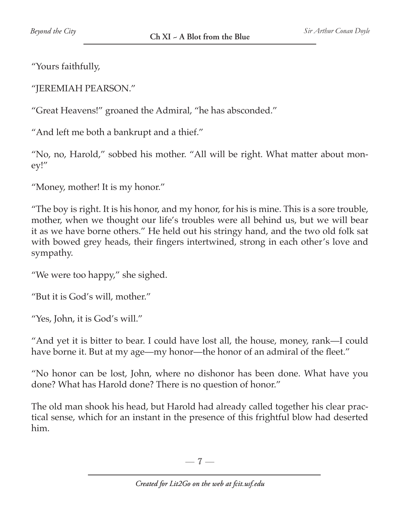"Yours faithfully,

"JEREMIAH PEARSON."

"Great Heavens!" groaned the Admiral, "he has absconded."

"And left me both a bankrupt and a thief."

"No, no, Harold," sobbed his mother. "All will be right. What matter about money!"

"Money, mother! It is my honor."

"The boy is right. It is his honor, and my honor, for his is mine. This is a sore trouble, mother, when we thought our life's troubles were all behind us, but we will bear it as we have borne others." He held out his stringy hand, and the two old folk sat with bowed grey heads, their fingers intertwined, strong in each other's love and sympathy.

"We were too happy," she sighed.

"But it is God's will, mother."

"Yes, John, it is God's will."

"And yet it is bitter to bear. I could have lost all, the house, money, rank—I could have borne it. But at my age—my honor—the honor of an admiral of the fleet."

"No honor can be lost, John, where no dishonor has been done. What have you done? What has Harold done? There is no question of honor."

The old man shook his head, but Harold had already called together his clear practical sense, which for an instant in the presence of this frightful blow had deserted him.

 $-7-$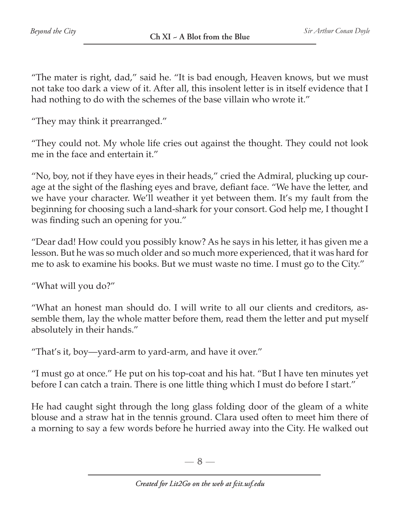"The mater is right, dad," said he. "It is bad enough, Heaven knows, but we must not take too dark a view of it. After all, this insolent letter is in itself evidence that I had nothing to do with the schemes of the base villain who wrote it."

"They may think it prearranged."

"They could not. My whole life cries out against the thought. They could not look me in the face and entertain it."

"No, boy, not if they have eyes in their heads," cried the Admiral, plucking up courage at the sight of the flashing eyes and brave, defiant face. "We have the letter, and we have your character. We'll weather it yet between them. It's my fault from the beginning for choosing such a land-shark for your consort. God help me, I thought I was finding such an opening for you."

"Dear dad! How could you possibly know? As he says in his letter, it has given me a lesson. But he was so much older and so much more experienced, that it was hard for me to ask to examine his books. But we must waste no time. I must go to the City."

"What will you do?"

"What an honest man should do. I will write to all our clients and creditors, assemble them, lay the whole matter before them, read them the letter and put myself absolutely in their hands."

"That's it, boy—yard-arm to yard-arm, and have it over."

"I must go at once." He put on his top-coat and his hat. "But I have ten minutes yet before I can catch a train. There is one little thing which I must do before I start."

He had caught sight through the long glass folding door of the gleam of a white blouse and a straw hat in the tennis ground. Clara used often to meet him there of a morning to say a few words before he hurried away into the City. He walked out

 $-8-$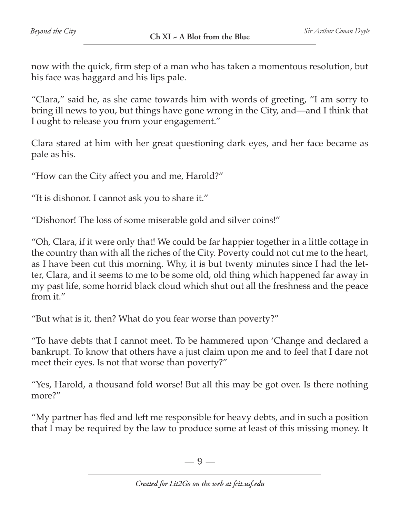now with the quick, firm step of a man who has taken a momentous resolution, but his face was haggard and his lips pale.

"Clara," said he, as she came towards him with words of greeting, "I am sorry to bring ill news to you, but things have gone wrong in the City, and—and I think that I ought to release you from your engagement."

Clara stared at him with her great questioning dark eyes, and her face became as pale as his.

"How can the City affect you and me, Harold?"

"It is dishonor. I cannot ask you to share it."

"Dishonor! The loss of some miserable gold and silver coins!"

"Oh, Clara, if it were only that! We could be far happier together in a little cottage in the country than with all the riches of the City. Poverty could not cut me to the heart, as I have been cut this morning. Why, it is but twenty minutes since I had the letter, Clara, and it seems to me to be some old, old thing which happened far away in my past life, some horrid black cloud which shut out all the freshness and the peace from it."

"But what is it, then? What do you fear worse than poverty?"

"To have debts that I cannot meet. To be hammered upon 'Change and declared a bankrupt. To know that others have a just claim upon me and to feel that I dare not meet their eyes. Is not that worse than poverty?"

"Yes, Harold, a thousand fold worse! But all this may be got over. Is there nothing more?"

"My partner has fled and left me responsible for heavy debts, and in such a position that I may be required by the law to produce some at least of this missing money. It

 $-9-$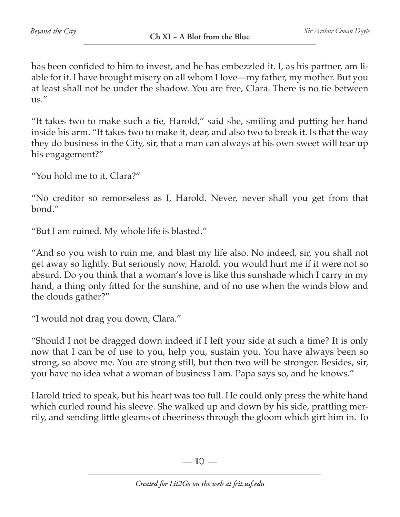has been confided to him to invest, and he has embezzled it. I, as his partner, am liable for it. I have brought misery on all whom I love—my father, my mother. But you at least shall not be under the shadow. You are free, Clara. There is no tie between us."

"It takes two to make such a tie, Harold," said she, smiling and putting her hand inside his arm. "It takes two to make it, dear, and also two to break it. Is that the way they do business in the City, sir, that a man can always at his own sweet will tear up his engagement?"

"You hold me to it, Clara?"

"No creditor so remorseless as I, Harold. Never, never shall you get from that bond."

"But I am ruined. My whole life is blasted."

"And so you wish to ruin me, and blast my life also. No indeed, sir, you shall not get away so lightly. But seriously now, Harold, you would hurt me if it were not so absurd. Do you think that a woman's love is like this sunshade which I carry in my hand, a thing only fitted for the sunshine, and of no use when the winds blow and the clouds gather?"

"I would not drag you down, Clara."

"Should I not be dragged down indeed if I left your side at such a time? It is only now that I can be of use to you, help you, sustain you. You have always been so strong, so above me. You are strong still, but then two will be stronger. Besides, sir, you have no idea what a woman of business I am. Papa says so, and he knows."

Harold tried to speak, but his heart was too full. He could only press the white hand which curled round his sleeve. She walked up and down by his side, prattling merrily, and sending little gleams of cheeriness through the gloom which girt him in. To

—  $10-$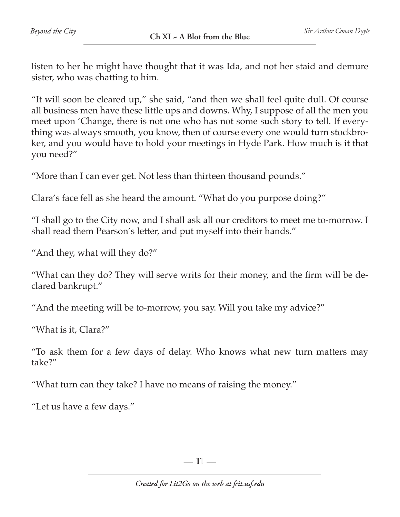listen to her he might have thought that it was Ida, and not her staid and demure sister, who was chatting to him.

"It will soon be cleared up," she said, "and then we shall feel quite dull. Of course all business men have these little ups and downs. Why, I suppose of all the men you meet upon 'Change, there is not one who has not some such story to tell. If everything was always smooth, you know, then of course every one would turn stockbroker, and you would have to hold your meetings in Hyde Park. How much is it that you need?"

"More than I can ever get. Not less than thirteen thousand pounds."

Clara's face fell as she heard the amount. "What do you purpose doing?"

"I shall go to the City now, and I shall ask all our creditors to meet me to-morrow. I shall read them Pearson's letter, and put myself into their hands."

"And they, what will they do?"

"What can they do? They will serve writs for their money, and the firm will be declared bankrupt."

"And the meeting will be to-morrow, you say. Will you take my advice?"

"What is it, Clara?"

"To ask them for a few days of delay. Who knows what new turn matters may take?"

"What turn can they take? I have no means of raising the money."

"Let us have a few days."

—  $\mathbb{11}$  —